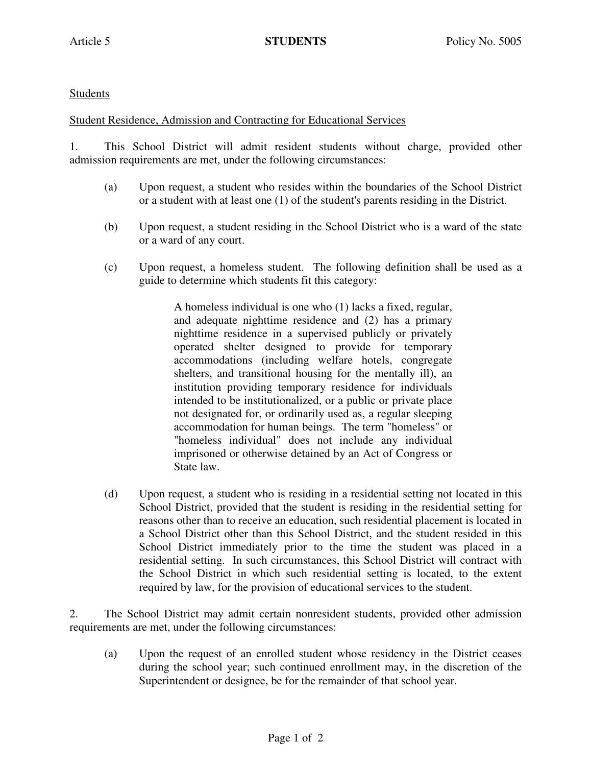## **Students**

## Student Residence, Admission and Contracting for Educational Services

1. This School District will admit resident students without charge, provided other admission requirements are met, under the following circumstances:

- (a) Upon request, a student who resides within the boundaries of the School District or a student with at least one (1) of the student's parents residing in the District.
- (b) Upon request, a student residing in the School District who is a ward of the state or a ward of any court.
- (c) Upon request, a homeless student. The following definition shall be used as a guide to determine which students fit this category:

A homeless individual is one who (1) lacks a fixed, regular, and adequate nighttime residence and (2) has a primary nighttime residence in a supervised publicly or privately operated shelter designed to provide for temporary accommodations (including welfare hotels, congregate shelters, and transitional housing for the mentally ill), an institution providing temporary residence for individuals intended to be institutionalized, or a public or private place not designated for, or ordinarily used as, a regular sleeping accommodation for human beings. The term "homeless" or "homeless individual" does not include any individual imprisoned or otherwise detained by an Act of Congress or State law.

(d) Upon request, a student who is residing in a residential setting not located in this School District, provided that the student is residing in the residential setting for reasons other than to receive an education, such residential placement is located in a School District other than this School District, and the student resided in this School District immediately prior to the time the student was placed in a residential setting. In such circumstances, this School District will contract with the School District in which such residential setting is located, to the extent required by law, for the provision of educational services to the student.

2. The School District may admit certain nonresident students, provided other admission requirements are met, under the following circumstances:

 (a) Upon the request of an enrolled student whose residency in the District ceases during the school year; such continued enrollment may, in the discretion of the Superintendent or designee, be for the remainder of that school year.